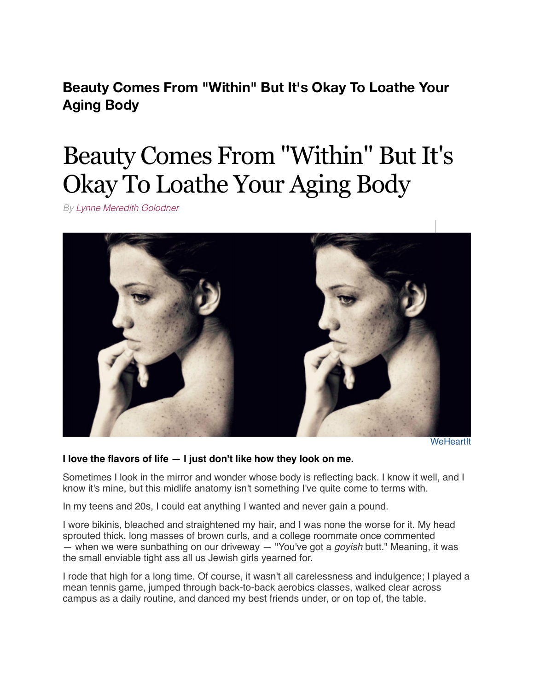**Beauty Comes From "Within" But It's Okay To Loathe Your Aging Body**

# Beauty Comes From "Within" But It's Okay To Loathe Your Aging Body

*By [Lynne Meredith Golodner](http://www.yourtango.com/users/lynne-meredith-golodner)*



**[WeHeartIt](http://weheartit.com/entry/190389370/)** 

### **I love the flavors of life — I just don't like how they look on me.**

Sometimes I look in the mirror and wonder whose body is reflecting back. I know it well, and I know it's mine, but this midlife anatomy isn't something I've quite come to terms with.

In my teens and 20s, I could eat anything I wanted and never gain a pound.

I wore bikinis, bleached and straightened my hair, and I was none the worse for it. My head sprouted thick, long masses of brown curls, and a college roommate once commented — when we were sunbathing on our driveway — "You've got a *goyish* butt." Meaning, it was the small enviable tight ass all us Jewish girls yearned for.

I rode that high for a long time. Of course, it wasn't all carelessness and indulgence; I played a mean tennis game, jumped through back-to-back aerobics classes, walked clear across campus as a daily routine, and danced my best friends under, or on top of, the table.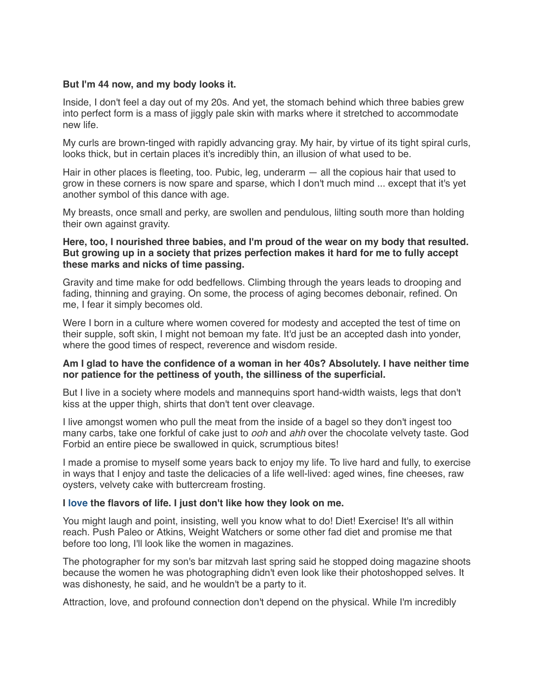## **But I'm 44 now, and my body looks it.**

Inside, I don't feel a day out of my 20s. And yet, the stomach behind which three babies grew into perfect form is a mass of jiggly pale skin with marks where it stretched to accommodate new life.

My curls are brown-tinged with rapidly advancing gray. My hair, by virtue of its tight spiral curls, looks thick, but in certain places it's incredibly thin, an illusion of what used to be.

Hair in other places is fleeting, too. Pubic, leg, underarm — all the copious hair that used to grow in these corners is now spare and sparse, which I don't much mind ... except that it's yet another symbol of this dance with age.

My breasts, once small and perky, are swollen and pendulous, lilting south more than holding their own against gravity.

## **Here, too, I nourished three babies, and I'm proud of the wear on my body that resulted. But growing up in a society that prizes perfection makes it hard for me to fully accept these marks and nicks of time passing.**

Gravity and time make for odd bedfellows. Climbing through the years leads to drooping and fading, thinning and graying. On some, the process of aging becomes debonair, refined. On me, I fear it simply becomes old.

Were I born in a culture where women covered for modesty and accepted the test of time on their supple, soft skin, I might not bemoan my fate. It'd just be an accepted dash into yonder, where the good times of respect, reverence and wisdom reside.

## **Am I glad to have the confidence of a woman in her 40s? Absolutely. I have neither time nor patience for the pettiness of youth, the silliness of the superficial.**

But I live in a society where models and mannequins sport hand-width waists, legs that don't kiss at the upper thigh, shirts that don't tent over cleavage.

I live amongst women who pull the meat from the inside of a bagel so they don't ingest too many carbs, take one forkful of cake just to *ooh* and *ahh* over the chocolate velvety taste. God Forbid an entire piece be swallowed in quick, scrumptious bites!

I made a promise to myself some years back to enjoy my life. To live hard and fully, to exercise in ways that I enjoy and taste the delicacies of a life well-lived: aged wines, fine cheeses, raw oysters, velvety cake with buttercream frosting.

### **I [love](http://www.yourtango.com/love) the flavors of life. I just don't like how they look on me.**

You might laugh and point, insisting, well you know what to do! Diet! Exercise! It's all within reach. Push Paleo or Atkins, Weight Watchers or some other fad diet and promise me that before too long, I'll look like the women in magazines.

The photographer for my son's bar mitzvah last spring said he stopped doing magazine shoots because the women he was photographing didn't even look like their photoshopped selves. It was dishonesty, he said, and he wouldn't be a party to it.

Attraction, love, and profound connection don't depend on the physical. While I'm incredibly